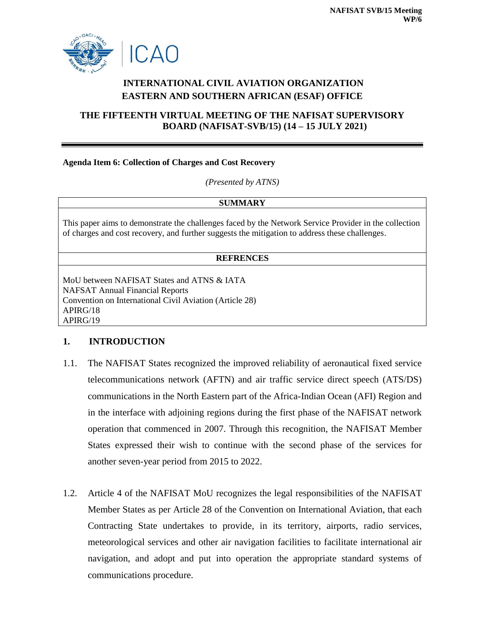

# **INTERNATIONAL CIVIL AVIATION ORGANIZATION EASTERN AND SOUTHERN AFRICAN (ESAF) OFFICE**

## **THE FIFTEENTH VIRTUAL MEETING OF THE NAFISAT SUPERVISORY BOARD (NAFISAT-SVB/15) (14 – 15 JULY 2021)**

#### **Agenda Item 6: Collection of Charges and Cost Recovery**

*(Presented by ATNS)*

#### **SUMMARY**

This paper aims to demonstrate the challenges faced by the Network Service Provider in the collection of charges and cost recovery, and further suggests the mitigation to address these challenges.

#### **REFRENCES**

MoU between NAFISAT States and ATNS & IATA NAFSAT Annual Financial Reports Convention on International Civil Aviation (Article 28) APIRG/18 APIRG/19

## **1. INTRODUCTION**

- 1.1. The NAFISAT States recognized the improved reliability of aeronautical fixed service telecommunications network (AFTN) and air traffic service direct speech (ATS/DS) communications in the North Eastern part of the Africa-Indian Ocean (AFI) Region and in the interface with adjoining regions during the first phase of the NAFISAT network operation that commenced in 2007. Through this recognition, the NAFISAT Member States expressed their wish to continue with the second phase of the services for another seven-year period from 2015 to 2022.
- 1.2. Article 4 of the NAFISAT MoU recognizes the legal responsibilities of the NAFISAT Member States as per Article 28 of the Convention on International Aviation, that each Contracting State undertakes to provide, in its territory, airports, radio services, meteorological services and other air navigation facilities to facilitate international air navigation, and adopt and put into operation the appropriate standard systems of communications procedure.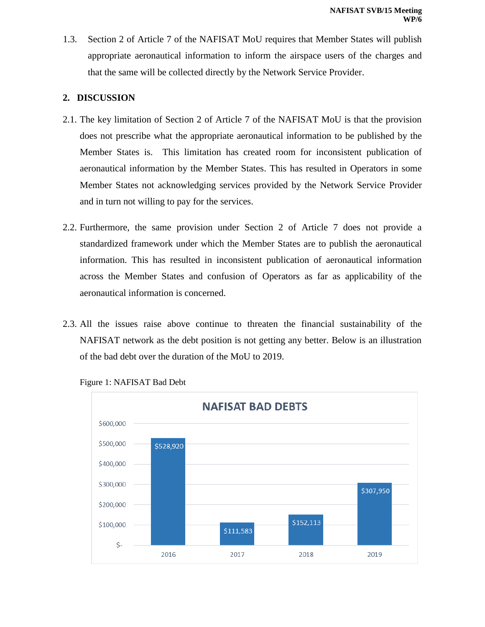1.3. Section 2 of Article 7 of the NAFISAT MoU requires that Member States will publish appropriate aeronautical information to inform the airspace users of the charges and that the same will be collected directly by the Network Service Provider.

## **2. DISCUSSION**

- 2.1. The key limitation of Section 2 of Article 7 of the NAFISAT MoU is that the provision does not prescribe what the appropriate aeronautical information to be published by the Member States is. This limitation has created room for inconsistent publication of aeronautical information by the Member States. This has resulted in Operators in some Member States not acknowledging services provided by the Network Service Provider and in turn not willing to pay for the services.
- 2.2. Furthermore, the same provision under Section 2 of Article 7 does not provide a standardized framework under which the Member States are to publish the aeronautical information. This has resulted in inconsistent publication of aeronautical information across the Member States and confusion of Operators as far as applicability of the aeronautical information is concerned.
- 2.3. All the issues raise above continue to threaten the financial sustainability of the NAFISAT network as the debt position is not getting any better. Below is an illustration of the bad debt over the duration of the MoU to 2019.



Figure 1: NAFISAT Bad Debt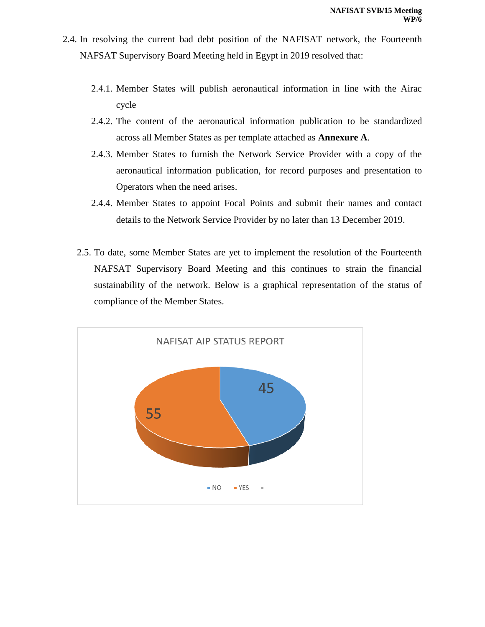- 2.4. In resolving the current bad debt position of the NAFISAT network, the Fourteenth NAFSAT Supervisory Board Meeting held in Egypt in 2019 resolved that:
	- 2.4.1. Member States will publish aeronautical information in line with the Airac cycle
	- 2.4.2. The content of the aeronautical information publication to be standardized across all Member States as per template attached as **Annexure A**.
	- 2.4.3. Member States to furnish the Network Service Provider with a copy of the aeronautical information publication, for record purposes and presentation to Operators when the need arises.
	- 2.4.4. Member States to appoint Focal Points and submit their names and contact details to the Network Service Provider by no later than 13 December 2019.
	- 2.5. To date, some Member States are yet to implement the resolution of the Fourteenth NAFSAT Supervisory Board Meeting and this continues to strain the financial sustainability of the network. Below is a graphical representation of the status of compliance of the Member States.

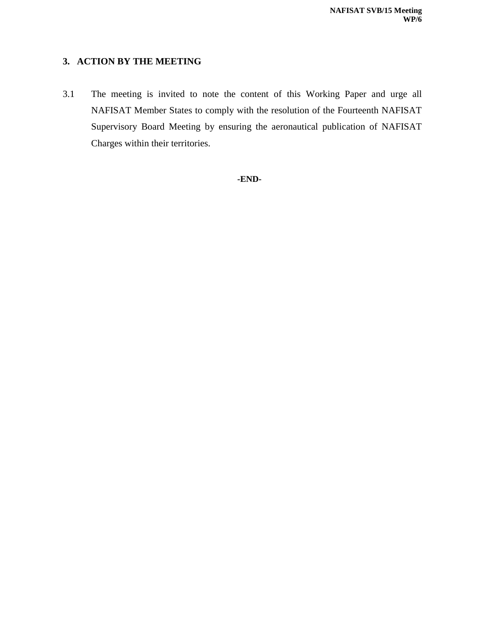### **3. ACTION BY THE MEETING**

3.1 The meeting is invited to note the content of this Working Paper and urge all NAFISAT Member States to comply with the resolution of the Fourteenth NAFISAT Supervisory Board Meeting by ensuring the aeronautical publication of NAFISAT Charges within their territories.

**-END-**